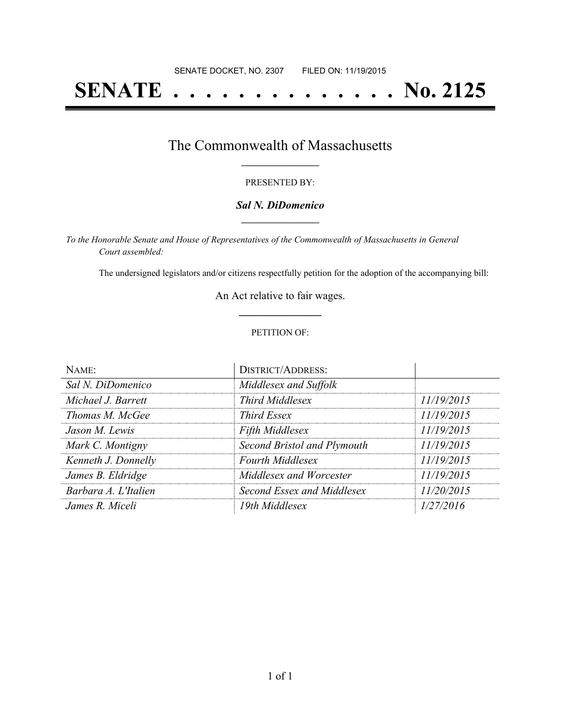# **SENATE . . . . . . . . . . . . . . No. 2125**

### The Commonwealth of Massachusetts **\_\_\_\_\_\_\_\_\_\_\_\_\_\_\_\_\_**

#### PRESENTED BY:

#### *Sal N. DiDomenico* **\_\_\_\_\_\_\_\_\_\_\_\_\_\_\_\_\_**

*To the Honorable Senate and House of Representatives of the Commonwealth of Massachusetts in General Court assembled:*

The undersigned legislators and/or citizens respectfully petition for the adoption of the accompanying bill:

An Act relative to fair wages. **\_\_\_\_\_\_\_\_\_\_\_\_\_\_\_**

#### PETITION OF:

| NAME:                | <b>DISTRICT/ADDRESS:</b>    |            |
|----------------------|-----------------------------|------------|
| Sal N. DiDomenico    | Middlesex and Suffolk       |            |
| Michael J. Barrett   | <b>Third Middlesex</b>      | 11/19/2015 |
| Thomas M. McGee      | <b>Third Essex</b>          | 11/19/2015 |
| Jason M. Lewis       | <b>Fifth Middlesex</b>      | 11/19/2015 |
| Mark C. Montigny     | Second Bristol and Plymouth | 11/19/2015 |
| Kenneth J. Donnelly  | <b>Fourth Middlesex</b>     | 11/19/2015 |
| James B. Eldridge    | Middlesex and Worcester     | 11/19/2015 |
| Barbara A. L'Italien | Second Essex and Middlesex  | 11/20/2015 |
| James R. Miceli      | 19th Middlesex              | 1/27/2016  |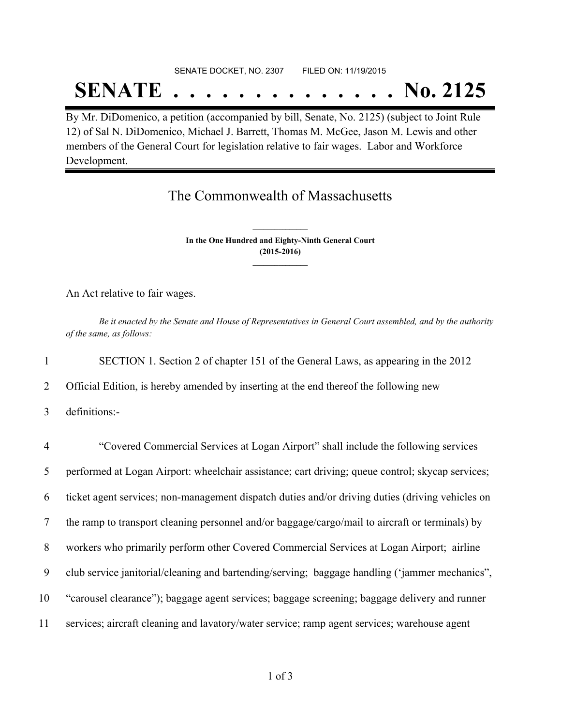## SENATE DOCKET, NO. 2307 FILED ON: 11/19/2015 **SENATE . . . . . . . . . . . . . . No. 2125**

By Mr. DiDomenico, a petition (accompanied by bill, Senate, No. 2125) (subject to Joint Rule 12) of Sal N. DiDomenico, Michael J. Barrett, Thomas M. McGee, Jason M. Lewis and other members of the General Court for legislation relative to fair wages. Labor and Workforce Development.

## The Commonwealth of Massachusetts

**In the One Hundred and Eighty-Ninth General Court (2015-2016) \_\_\_\_\_\_\_\_\_\_\_\_\_\_\_**

**\_\_\_\_\_\_\_\_\_\_\_\_\_\_\_**

An Act relative to fair wages.

Be it enacted by the Senate and House of Representatives in General Court assembled, and by the authority *of the same, as follows:*

1 SECTION 1. Section 2 of chapter 151 of the General Laws, as appearing in the 2012

2 Official Edition, is hereby amended by inserting at the end thereof the following new

3 definitions:-

| $\overline{4}$ | "Covered Commercial Services at Logan Airport" shall include the following services              |
|----------------|--------------------------------------------------------------------------------------------------|
| 5              | performed at Logan Airport: wheelchair assistance; cart driving; queue control; skycap services; |
| 6              | ticket agent services; non-management dispatch duties and/or driving duties (driving vehicles on |
| 7              | the ramp to transport cleaning personnel and/or baggage/cargo/mail to aircraft or terminals) by  |
| 8              | workers who primarily perform other Covered Commercial Services at Logan Airport; airline        |
| 9              | club service janitorial/cleaning and bartending/serving; baggage handling ('jammer mechanics",   |
| 10             | "carousel clearance"); baggage agent services; baggage screening; baggage delivery and runner    |
| 11             | services; aircraft cleaning and lavatory/water service; ramp agent services; warehouse agent     |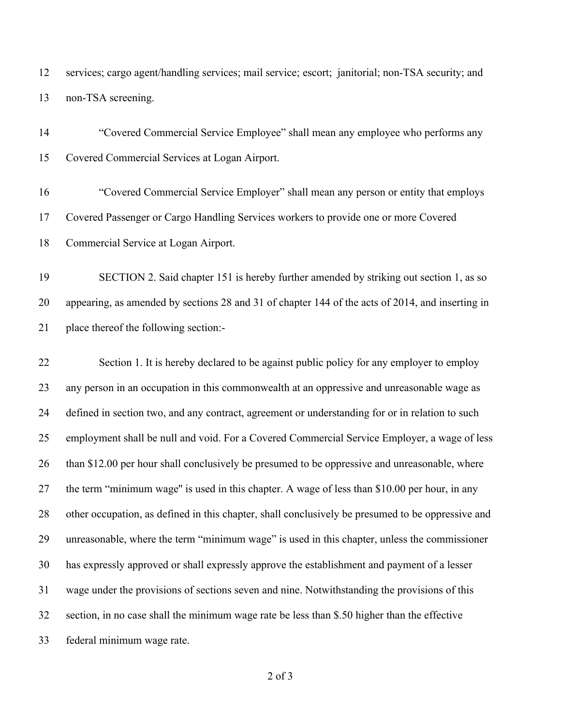services; cargo agent/handling services; mail service; escort; janitorial; non-TSA security; and non-TSA screening.

 "Covered Commercial Service Employee" shall mean any employee who performs any Covered Commercial Services at Logan Airport.

 "Covered Commercial Service Employer" shall mean any person or entity that employs Covered Passenger or Cargo Handling Services workers to provide one or more Covered Commercial Service at Logan Airport.

 SECTION 2. Said chapter 151 is hereby further amended by striking out section 1, as so appearing, as amended by sections 28 and 31 of chapter 144 of the acts of 2014, and inserting in place thereof the following section:-

 Section 1. It is hereby declared to be against public policy for any employer to employ any person in an occupation in this commonwealth at an oppressive and unreasonable wage as 24 defined in section two, and any contract, agreement or understanding for or in relation to such employment shall be null and void. For a Covered Commercial Service Employer, a wage of less 26 than \$12.00 per hour shall conclusively be presumed to be oppressive and unreasonable, where the term "minimum wage'' is used in this chapter. A wage of less than \$10.00 per hour, in any other occupation, as defined in this chapter, shall conclusively be presumed to be oppressive and unreasonable, where the term "minimum wage" is used in this chapter, unless the commissioner has expressly approved or shall expressly approve the establishment and payment of a lesser wage under the provisions of sections seven and nine. Notwithstanding the provisions of this section, in no case shall the minimum wage rate be less than \$.50 higher than the effective federal minimum wage rate.

of 3